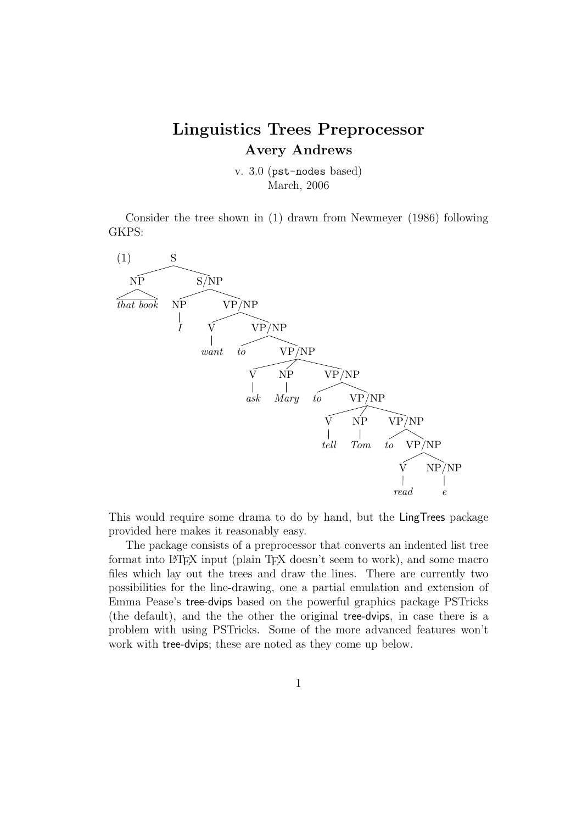# Linguistics Trees Preprocessor Avery Andrews

v. 3.0 (pst-nodes based) March, 2006

Consider the tree shown in (1) drawn from Newmeyer (1986) following GKPS:



This would require some drama to do by hand, but the LingTrees package provided here makes it reasonably easy.

The package consists of a preprocessor that converts an indented list tree format into LAT<sub>E</sub>X input (plain T<sub>E</sub>X doesn't seem to work), and some macro files which lay out the trees and draw the lines. There are currently two possibilities for the line-drawing, one a partial emulation and extension of Emma Pease's tree-dvips based on the powerful graphics package PSTricks (the default), and the the other the original tree-dvips, in case there is a problem with using PSTricks. Some of the more advanced features won't work with tree-dvips; these are noted as they come up below.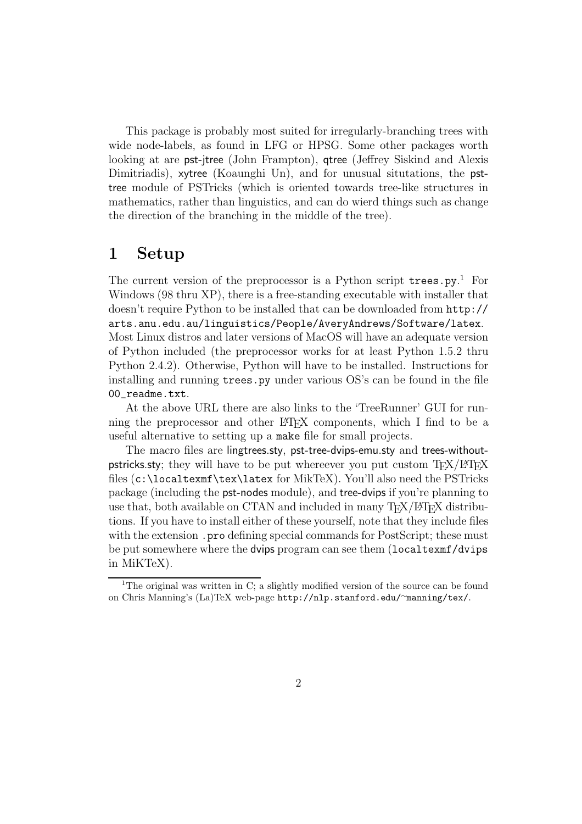This package is probably most suited for irregularly-branching trees with wide node-labels, as found in LFG or HPSG. Some other packages worth looking at are pst-jtree (John Frampton), gtree (Jeffrey Siskind and Alexis Dimitriadis), xytree (Koaunghi Un), and for unusual situtations, the psttree module of PSTricks (which is oriented towards tree-like structures in mathematics, rather than linguistics, and can do wierd things such as change the direction of the branching in the middle of the tree).

## 1 Setup

The current version of the preprocessor is a Python script trees.py.<sup>1</sup> For Windows (98 thru XP), there is a free-standing executable with installer that doesn't require Python to be installed that can be downloaded from http:// arts.anu.edu.au/linguistics/People/AveryAndrews/Software/latex. Most Linux distros and later versions of MacOS will have an adequate version of Python included (the preprocessor works for at least Python 1.5.2 thru Python 2.4.2). Otherwise, Python will have to be installed. Instructions for installing and running trees.py under various OS's can be found in the file 00\_readme.txt.

At the above URL there are also links to the 'TreeRunner' GUI for running the preprocessor and other L<sup>A</sup>TEX components, which I find to be a useful alternative to setting up a make file for small projects.

The macro files are lingtrees.sty, pst-tree-dvips-emu.sty and trees-withoutpstricks.sty; they will have to be put whereever you put custom  $T_{F}X/HT_{F}X$ files (c:\localtexmf\tex\latex for MikTeX). You'll also need the PSTricks package (including the pst-nodes module), and tree-dvips if you're planning to use that, both available on CTAN and included in many TEX/LATEX distributions. If you have to install either of these yourself, note that they include files with the extension . pro defining special commands for PostScript; these must be put somewhere where the dvips program can see them (localtexmf/dvips in MiKTeX).

<sup>&</sup>lt;sup>1</sup>The original was written in C; a slightly modified version of the source can be found on Chris Manning's (La)TeX web-page http://nlp.stanford.edu/∼manning/tex/.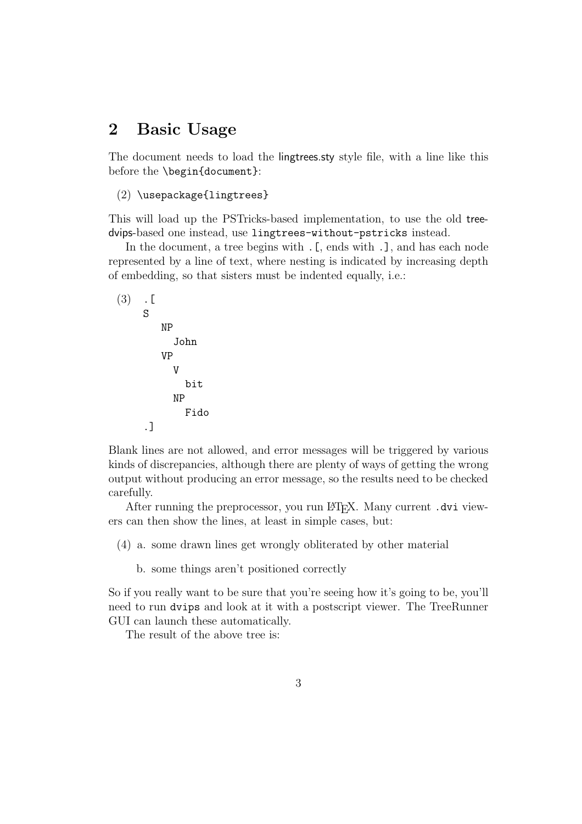## 2 Basic Usage

The document needs to load the lingtrees.sty style file, with a line like this before the \begin{document}:

```
(2) \usepackage{lingtrees}
```
This will load up the PSTricks-based implementation, to use the old treedvips-based one instead, use lingtrees-without-pstricks instead.

In the document, a tree begins with . [, ends with .], and has each node represented by a line of text, where nesting is indicated by increasing depth of embedding, so that sisters must be indented equally, i.e.:

$$
\begin{array}{cc}\n(3) & . & \n\begin{array}{cc}\n & & \n\end{array}\n\end{array}
$$
\n
$$
\begin{array}{cc}\n\text{NP} & \text{John} \\
\text{VP} & \text{V} \\
\text{bit} & \text{NP} \\
\text{Fido}\n\end{array}
$$

Blank lines are not allowed, and error messages will be triggered by various kinds of discrepancies, although there are plenty of ways of getting the wrong output without producing an error message, so the results need to be checked carefully.

After running the preprocessor, you run LAT<sub>EX</sub>. Many current  $.$  dvi viewers can then show the lines, at least in simple cases, but:

(4) a. some drawn lines get wrongly obliterated by other material

b. some things aren't positioned correctly

So if you really want to be sure that you're seeing how it's going to be, you'll need to run dvips and look at it with a postscript viewer. The TreeRunner GUI can launch these automatically.

The result of the above tree is: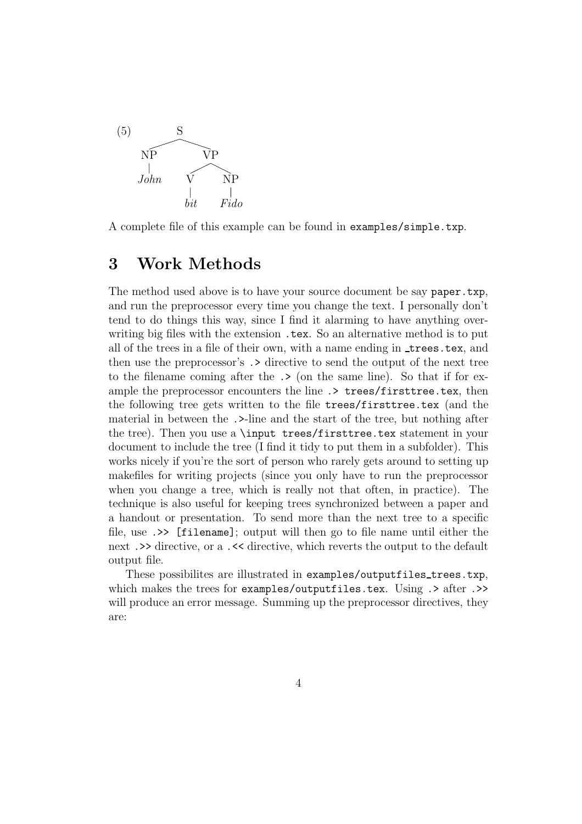

A complete file of this example can be found in examples/simple.txp.

### 3 Work Methods

The method used above is to have your source document be say paper.txp, and run the preprocessor every time you change the text. I personally don't tend to do things this way, since I find it alarming to have anything overwriting big files with the extension .tex. So an alternative method is to put all of the trees in a file of their own, with a name ending in trees.tex, and then use the preprocessor's .> directive to send the output of the next tree to the filename coming after the .> (on the same line). So that if for example the preprocessor encounters the line  $\rightarrow$  trees/firsttree.tex, then the following tree gets written to the file trees/firsttree.tex (and the material in between the .>-line and the start of the tree, but nothing after the tree). Then you use a \input trees/firsttree.tex statement in your document to include the tree (I find it tidy to put them in a subfolder). This works nicely if you're the sort of person who rarely gets around to setting up makefiles for writing projects (since you only have to run the preprocessor when you change a tree, which is really not that often, in practice). The technique is also useful for keeping trees synchronized between a paper and a handout or presentation. To send more than the next tree to a specific file, use .>> [filename]; output will then go to file name until either the next .>> directive, or a .<< directive, which reverts the output to the default output file.

These possibilites are illustrated in examples/outputfiles\_trees.txp, which makes the trees for examples/outputfiles.tex. Using  $\geq$  after  $\geq$ will produce an error message. Summing up the preprocessor directives, they are: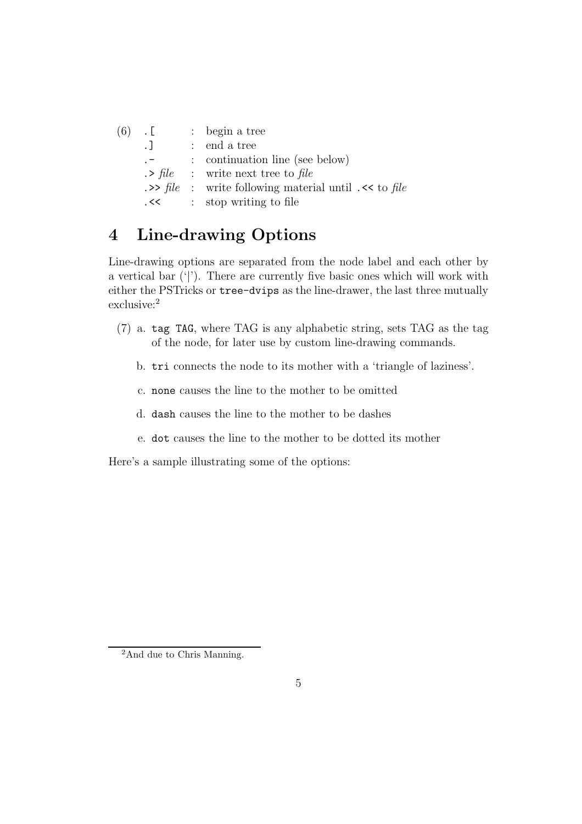| $(6)$ . [          | $:$ begin a tree                                                   |
|--------------------|--------------------------------------------------------------------|
| $\cdot$ $\cdot$    | $:$ end a tree                                                     |
| $\cdot$ $ \cdot$   | : continuation line (see below)                                    |
|                    | $\therefore$ file : write next tree to file                        |
|                    | $\Rightarrow$ file : write following material until $\leq$ to file |
| $\prec$<br>$\prec$ | : stop writing to file                                             |

# 4 Line-drawing Options

Line-drawing options are separated from the node label and each other by a vertical bar ('|'). There are currently five basic ones which will work with either the PSTricks or tree-dvips as the line-drawer, the last three mutually exclusive:<sup>2</sup>

- (7) a. tag TAG, where TAG is any alphabetic string, sets TAG as the tag of the node, for later use by custom line-drawing commands.
	- b. tri connects the node to its mother with a 'triangle of laziness'.
	- c. none causes the line to the mother to be omitted
	- d. dash causes the line to the mother to be dashes
	- e. dot causes the line to the mother to be dotted its mother

Here's a sample illustrating some of the options:

<sup>2</sup>And due to Chris Manning.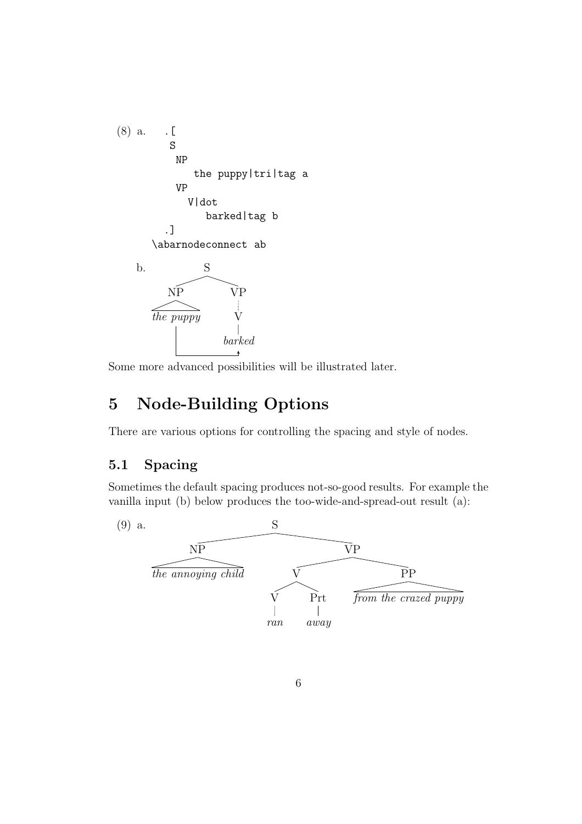

Some more advanced possibilities will be illustrated later.

# 5 Node-Building Options

There are various options for controlling the spacing and style of nodes.

### 5.1 Spacing

Sometimes the default spacing produces not-so-good results. For example the vanilla input (b) below produces the too-wide-and-spread-out result (a):

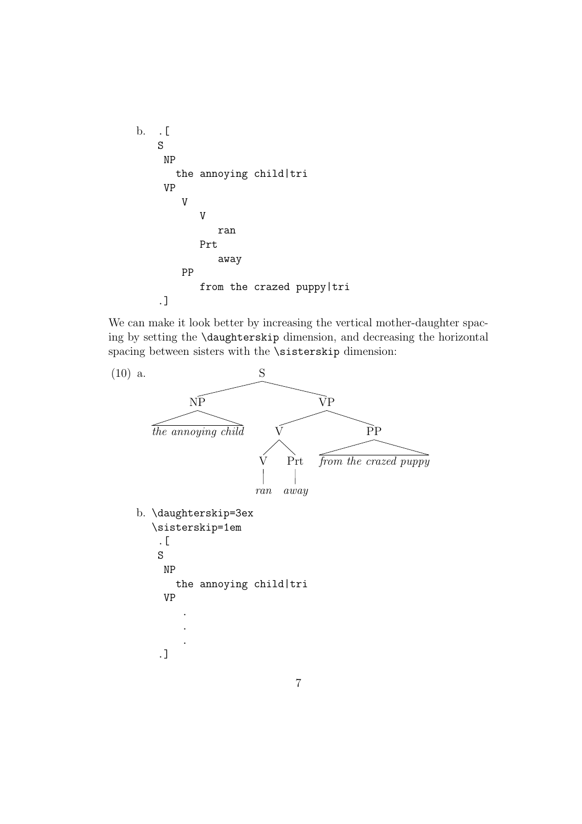

We can make it look better by increasing the vertical mother-daughter spacing by setting the \daughterskip dimension, and decreasing the horizontal spacing between sisters with the \sisterskip dimension:

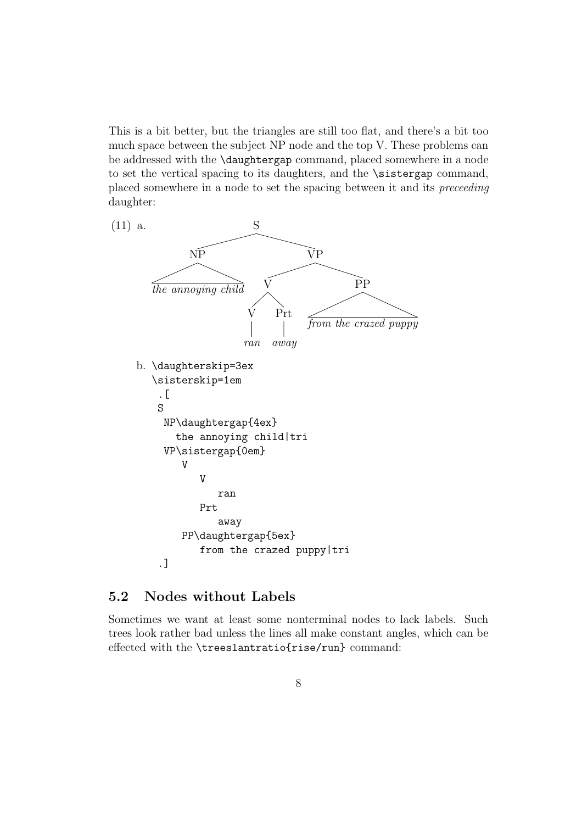This is a bit better, but the triangles are still too flat, and there's a bit too much space between the subject NP node and the top V. These problems can be addressed with the \daughtergap command, placed somewhere in a node to set the vertical spacing to its daughters, and the **\sistergap** command, placed somewhere in a node to set the spacing between it and its preceeding daughter:



### 5.2 Nodes without Labels

Sometimes we want at least some nonterminal nodes to lack labels. Such trees look rather bad unless the lines all make constant angles, which can be effected with the \treeslantratio{rise/run} command: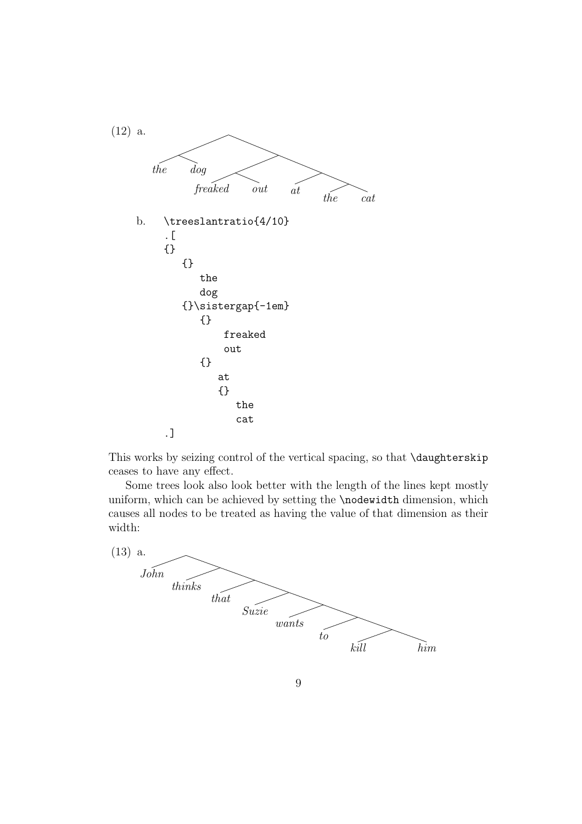

This works by seizing control of the vertical spacing, so that \daughterskip ceases to have any effect.

Some trees look also look better with the length of the lines kept mostly uniform, which can be achieved by setting the **\nodewidth** dimension, which causes all nodes to be treated as having the value of that dimension as their width:



9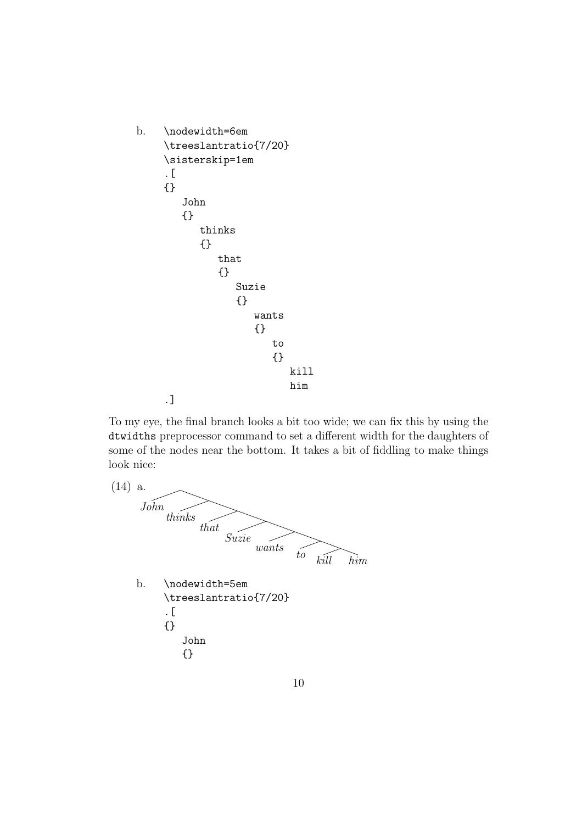```
b. \nodewidth=6em
     \treeslantratio{7/20}
     \sisterskip=1em
     .[
     {}
        John
        {}
           thinks
           {}
              that
              {}
                 Suzie
                  {}
                     wants
                     {}
                        to
                        {}
                           kill
                           him
     .]
```
To my eye, the final branch looks a bit too wide; we can fix this by using the dtwidths preprocessor command to set a different width for the daughters of some of the nodes near the bottom. It takes a bit of fiddling to make things look nice:

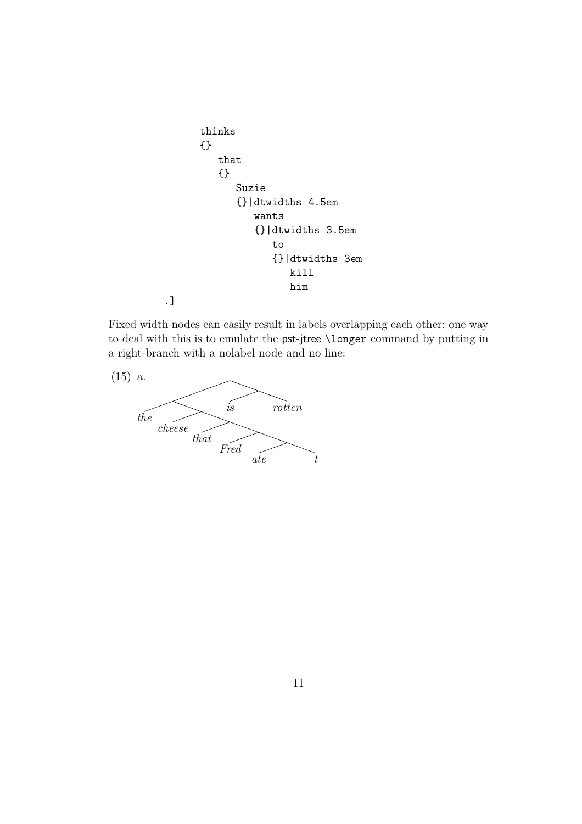```
thinks
{}
   that
   {}
      Suzie
      {}|dtwidths 4.5em
         wants
         {}|dtwidths 3.5em
            to
            {}|dtwidths 3em
                kill
                him
```
Fixed width nodes can easily result in labels overlapping each other; one way to deal with this is to emulate the pst-jtree \longer command by putting in a right-branch with a nolabel node and no line:



.]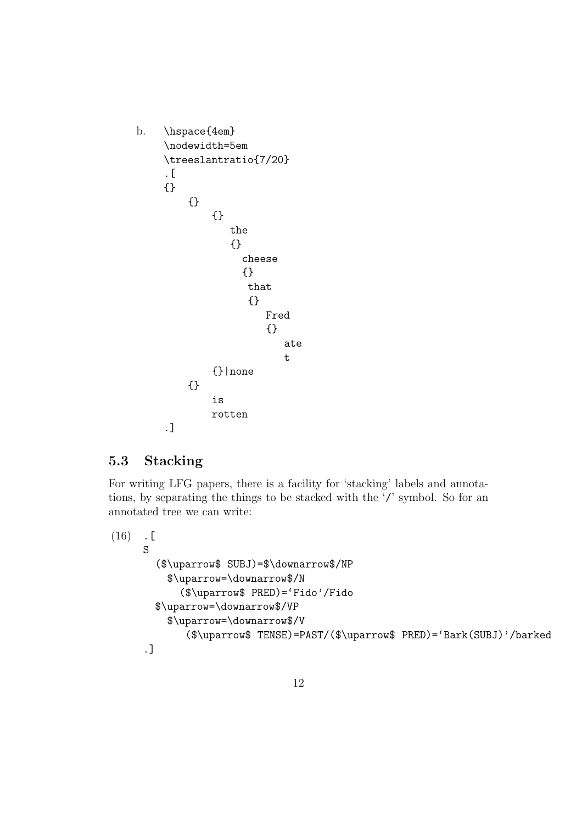```
b. \hspace{4em}
     \nodewidth=5em
     \treeslantratio{7/20}
     .[
     {}
         {}
             {}
                 the
                 {}
                   cheese
                   {}
                    that
                    {}
                       Fred
                       {}
                          ate
                          t
             {}|none
         {}
             is
             rotten
     .]
```
## 5.3 Stacking

For writing LFG papers, there is a facility for 'stacking' labels and annotations, by separating the things to be stacked with the '/' symbol. So for an annotated tree we can write:

```
(16) . [
     S
       ($\uparrow$ SUBJ)=$\downarrow$/NP
         $\uparrow=\downarrow$/N
           ($\uparrow$ PRED)='Fido'/Fido
       $\uparrow=\downarrow$/VP
         $\uparrow=\downarrow$/V
            ($\uparrow$ TENSE)=PAST/($\uparrow$ PRED)='Bark(SUBJ)'/barked
     .]
```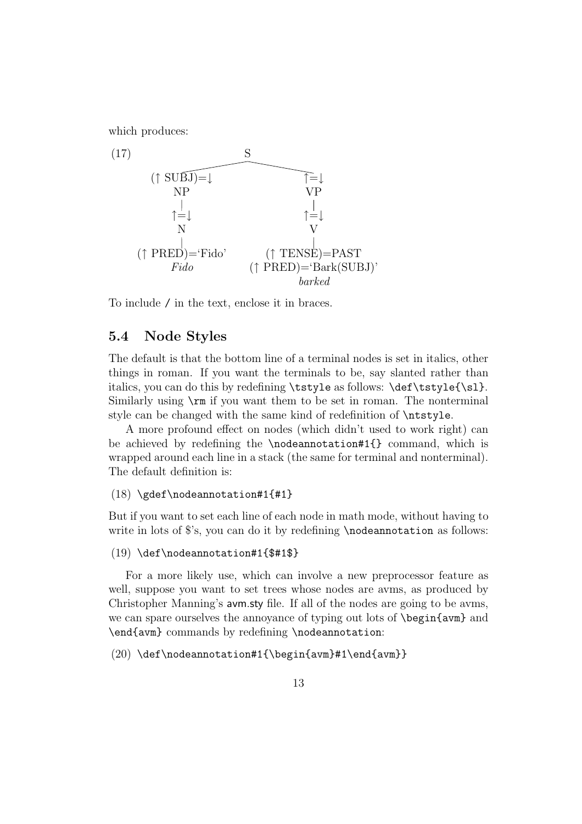which produces:



To include / in the text, enclose it in braces.

#### 5.4 Node Styles

The default is that the bottom line of a terminal nodes is set in italics, other things in roman. If you want the terminals to be, say slanted rather than italics, you can do this by redefining \tstyle as follows: \def\tstyle{\sl}. Similarly using \rm if you want them to be set in roman. The nonterminal style can be changed with the same kind of redefinition of \ntstyle.

A more profound effect on nodes (which didn't used to work right) can be achieved by redefining the \nodeannotation#1{} command, which is wrapped around each line in a stack (the same for terminal and nonterminal). The default definition is:

#### $(18) \qquad \qquad \text{non-tation#1{#1}}$

But if you want to set each line of each node in math mode, without having to write in lots of  $s$ 's, you can do it by redefining \nodeannotation as follows:

#### (19) \def\nodeannotation#1{\$#1\$}

For a more likely use, which can involve a new preprocessor feature as well, suppose you want to set trees whose nodes are avms, as produced by Christopher Manning's avm.sty file. If all of the nodes are going to be avms, we can spare ourselves the annoyance of typing out lots of **\begin{avm}** and \end{avm} commands by redefining \nodeannotation:

#### $(20) \def\not\hat{\theta}=1{\begin{array}{c}\n 20 \\
end{array}$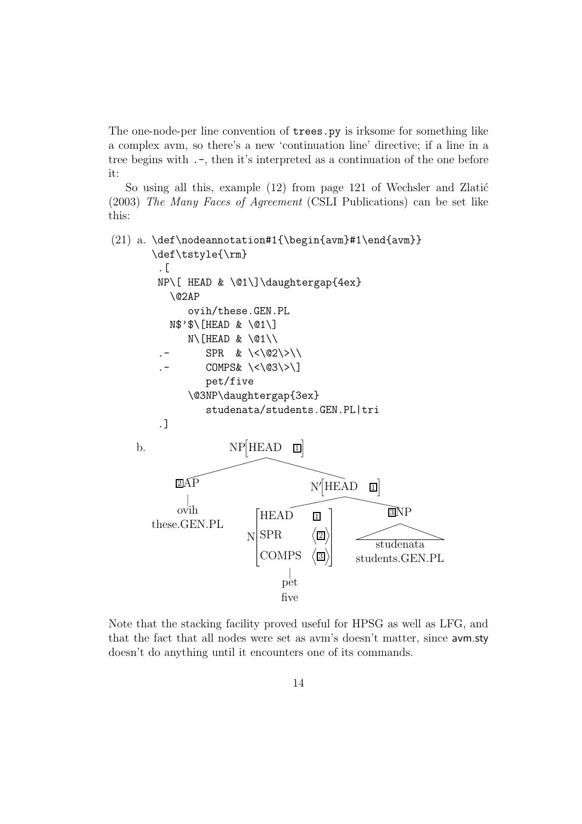The one-node-per line convention of trees.py is irksome for something like a complex avm, so there's a new 'continuation line' directive; if a line in a tree begins with  $.$ -, then it's interpreted as a continuation of the one before it:

So using all this, example  $(12)$  from page 121 of Wechsler and Zlatić (2003) The Many Faces of Agreement (CSLI Publications) can be set like this:



Note that the stacking facility proved useful for HPSG as well as LFG, and that the fact that all nodes were set as avm's doesn't matter, since avm.sty doesn't do anything until it encounters one of its commands.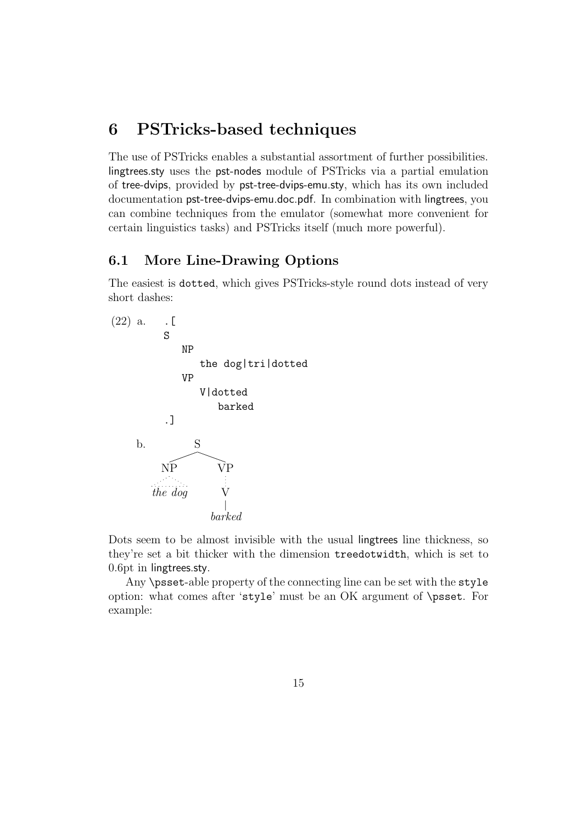## 6 PSTricks-based techniques

The use of PSTricks enables a substantial assortment of further possibilities. lingtrees.sty uses the pst-nodes module of PSTricks via a partial emulation of tree-dvips, provided by pst-tree-dvips-emu.sty, which has its own included documentation pst-tree-dvips-emu.doc.pdf. In combination with lingtrees, you can combine techniques from the emulator (somewhat more convenient for certain linguistics tasks) and PSTricks itself (much more powerful).

### 6.1 More Line-Drawing Options

The easiest is dotted, which gives PSTricks-style round dots instead of very short dashes:



Dots seem to be almost invisible with the usual lingtrees line thickness, so they're set a bit thicker with the dimension treedotwidth, which is set to 0.6pt in lingtrees.sty.

Any \psset-able property of the connecting line can be set with the style option: what comes after 'style' must be an OK argument of \psset. For example: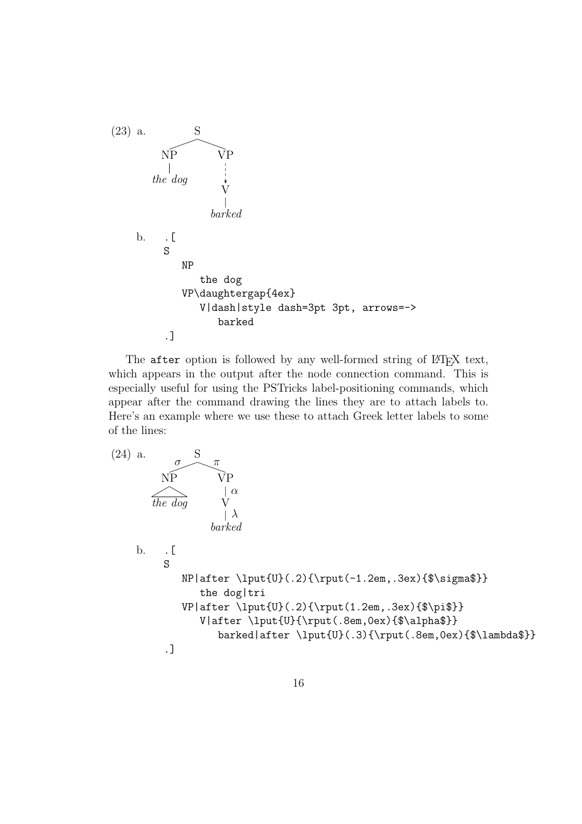

The after option is followed by any well-formed string of LATEX text, which appears in the output after the node connection command. This is especially useful for using the PSTricks label-positioning commands, which appear after the command drawing the lines they are to attach labels to. Here's an example where we use these to attach Greek letter labels to some of the lines:

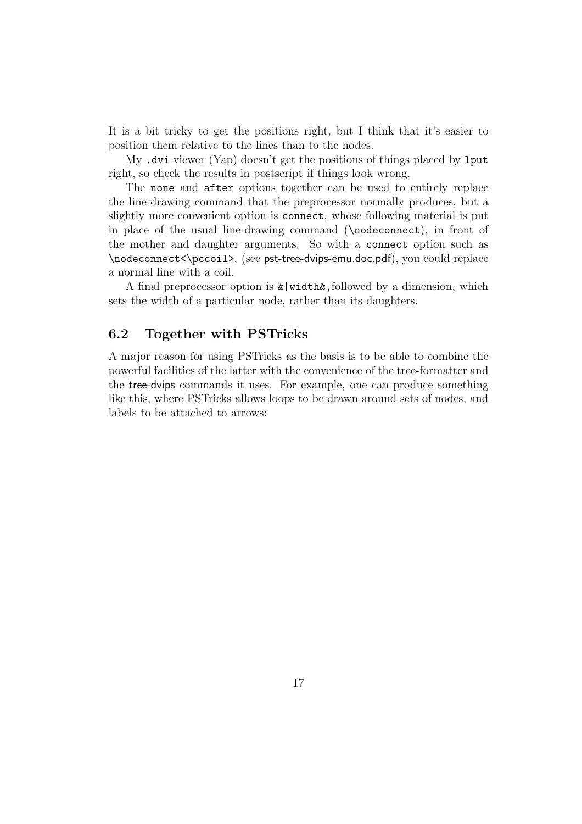It is a bit tricky to get the positions right, but I think that it's easier to position them relative to the lines than to the nodes.

My .dvi viewer (Yap) doesn't get the positions of things placed by lput right, so check the results in postscript if things look wrong.

The none and after options together can be used to entirely replace the line-drawing command that the preprocessor normally produces, but a slightly more convenient option is connect, whose following material is put in place of the usual line-drawing command (\nodeconnect), in front of the mother and daughter arguments. So with a connect option such as \nodeconnect<\pccoil>, (see pst-tree-dvips-emu.doc.pdf), you could replace a normal line with a coil.

A final preprocessor option is  $\&$ |width $\&$ , followed by a dimension, which sets the width of a particular node, rather than its daughters.

#### 6.2 Together with PSTricks

A major reason for using PSTricks as the basis is to be able to combine the powerful facilities of the latter with the convenience of the tree-formatter and the tree-dvips commands it uses. For example, one can produce something like this, where PSTricks allows loops to be drawn around sets of nodes, and labels to be attached to arrows: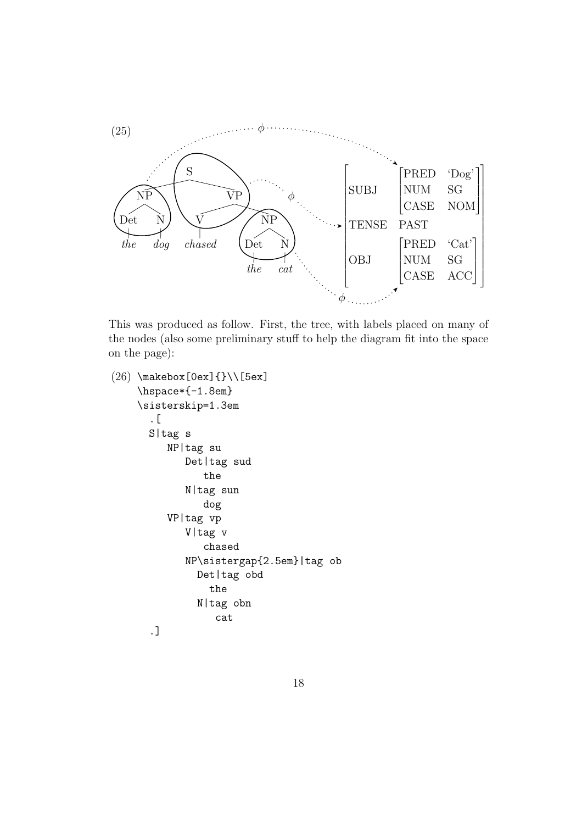

This was produced as follow. First, the tree, with labels placed on many of the nodes (also some preliminary stuff to help the diagram fit into the space on the page):

```
(26) \makebox[0ex]{}\\[5ex]
    \hspace*{-1.8em}
    \sisterskip=1.3em
      .[
      S|tag s
         NP|tag su
             Det|tag sud
                the
             N|tag sun
                dog
         VP|tag vp
             V|tag v
                chased
             NP\sistergap{2.5em}|tag ob
               Det|tag obd
                 the
               N|tag obn
                  cat
      .]
```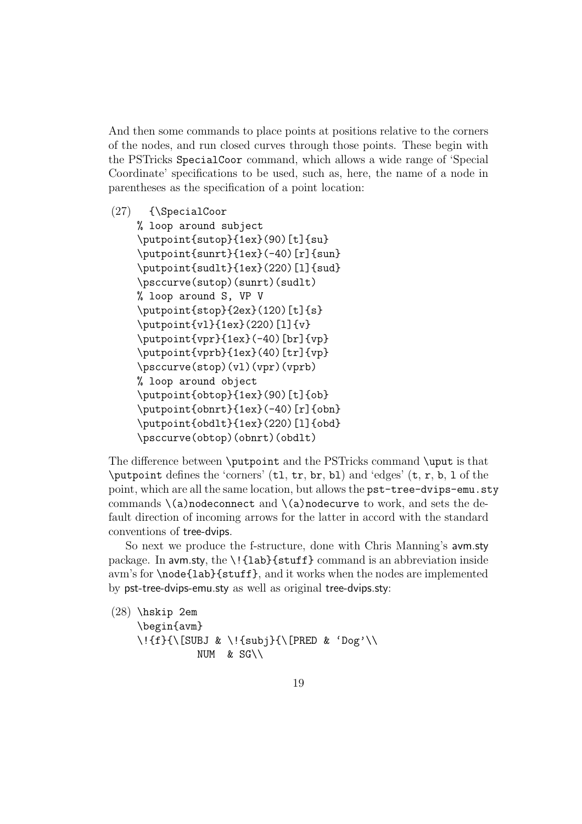And then some commands to place points at positions relative to the corners of the nodes, and run closed curves through those points. These begin with the PSTricks SpecialCoor command, which allows a wide range of 'Special Coordinate' specifications to be used, such as, here, the name of a node in parentheses as the specification of a point location:

```
(27) {\SpecialCoor
    % loop around subject
    \putpoint{sutop}{1ex}(90)[t]{su}
    \putpoint{sunrt}{1ex}(-40)[r]{sun}
    \putpoint{sudlt}{1ex}(220)[l]{sud}
    \psccurve(sutop)(sunrt)(sudlt)
    % loop around S, VP V
    \putpoint{stop}{2ex}(120)[t]{s}
    \putpoint{vl}{1ex}(220)[l]{v}
    \putpoint{vpr}{1ex}(-40)[br]{vp}\putpoint{vprb}{1ex}(40)[tr]{vp}
    \psccurve(stop)(vl)(vpr)(vprb)
    % loop around object
    \putpoint{obtop}{1ex}(90)[t]{ob}
    \putpoint{obnrt}{1ex}(-40)[r]{obn}
    \putpoint{obdlt}{1ex}(220)[l]{obd}
    \psccurve(obtop)(obnrt)(obdlt)
```
The difference between \putpoint and the PSTricks command \uput is that \putpoint defines the 'corners' (tl, tr, br, bl) and 'edges' (t, r, b, l of the point, which are all the same location, but allows the pst-tree-dvips-emu.sty commands  $\langle a \rangle$ nodeconnect and  $\langle a \rangle$ nodecurve to work, and sets the default direction of incoming arrows for the latter in accord with the standard conventions of tree-dvips.

So next we produce the f-structure, done with Chris Manning's avm.sty package. In avm.sty, the \!{lab}{stuff} command is an abbreviation inside avm's for \node{lab}{stuff}, and it works when the nodes are implemented by pst-tree-dvips-emu.sty as well as original tree-dvips.sty:

(28) \hskip 2em \begin{avm} \!{f}{\[SUBJ & \!{subj}{\[PRED & 'Dog'\\ NUM  $&$  SG\\